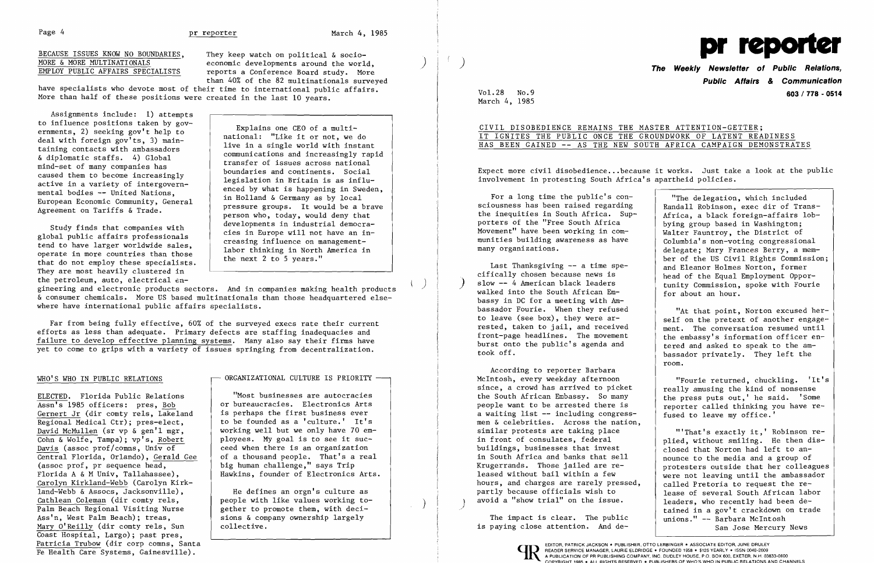Page 4 **pr reporter** March 4, 1985

BECAUSE ISSUES KNOW NO BOUNDARIES, They keep watch on political & socio-<br>MORE & MORE MULTINATIONALS economic developments around the world MORE & MORE MULTINATIONALS<br>EMPLOY PUBLIC AFFAIRS SPECIALISTS reports a Conference Board study. More reports a Conference Board study. More than 40% of the 82 multinationals surveyed

have specialists who devote most of their time to international public affairs. More than half of these positions were created in the last 10 years.

Assignments include: 1) attempts to influence positions taken by governments, 2) seeking gov't help to deal with foreign gov'ts, 3) maintaining contacts with ambassadors & diplomatic staffs. 4) Global mind-set of many companies has caused them to become increasingly active in a variety of intergovernmental bodies -- United Nations, European Economic Community, General Agreement on Tariffs & Trade.

Study finds that companies with global public affairs professionals tend to have larger worldwide sales, operate in more countries than those that do not employ these specialists. They are most heavily clustered in the petroleum, auto, electrical en-

Far from being fully effective, 60% of the surveyed execs rate their current<br>efforts as less than adequate. Primary defects are staffing inadequacies and<br>failure to develop effective planning systems. Many also say their f yet to come to grips with a variety of issues springing from decentralization.

ELECTED. Florida Public Relations Assn's 1985 officers: pres, Bob Gernert Jr (dir comty rels, Lakeland Regional Medical Ctr); pres-elect, David McMullen (sr vp & gen'l mgr, Cohn & Wolfe, Tampa); vp's, Robert Davis (assoc prof/comns, Univ of ٦ Central Florida, Orlando), Gerald Gee (assoc prof, pr sequence head, Florida A & M Univ, Tallahassee), Carolyn Kirkland-Webb (Carolyn Kirk land-Webb & Assocs, Jacksonville), Cathlean Coleman (dir comty rels, Palm Beach Regional Visiting Nurse Ass'n, West Palm Beach); treas, Mary O'Reilly (dir comty rels, Sun Coast Hospital, Largo); past pres,<br>Patricia Trubow (dir corp comns, Santa Patricia Trubow (dir corp comns, Santa 
Γαπερίωνης Santa (που του πρόεδρασματισμός του ΕΡΩΝ ΕΔΕ ΕΛΕ ΣΤΟ ΠΑΡΑΤΑ ΕΠΑΣ<br>
Γε Health Care Systems, Gainesville). Δείτε το προσωπισμό του προσωπισμό του προσωπισμό του προσωπισμό

## ORGANIZATIONAL CULTURE IS PRIORITY  $-$

"Most businesses are autocracies<br>or bureaucracies. Electronics Arts or bureaucracies. Electronics Arts<br>is perhaps the first business ever<br>a waiting list  $-$  including congress working well but we only have 70 em and the similar protests are taking place ployees. My goal is to see it sucployees. My goal is to see it suc-<br>
ceed when there is an organization<br>
in front of consulates, federal<br>
buildings, businesses that invest ceed when there is an organization of a thousand people. That's a real  $\begin{array}{c|c} \text{of a thousand people.} & \text{that's a real} \\ \text{big human challenge." says Trip} & \text{Xrugerrands.} & \text{Those failed are re-} \end{array}$ big human challenge," says Trip Krugerrands. Those jailed are re-Hawkins, founder of Electronics Arts.

people with like values working to avoid a "show trial" on the issue.<br>
gether to promote them, with deci-<br>
sions & company ownership largely<br>
The impact is clear. The public sions & company ownership largely collective.

Explains one CEO of a multinational: "Like it or not, we do live in a single world with instant communications and increasingly rapid transfer of issues across national boundaries and continents. Social legislation in Britain is as influenced by what is happening in Sweden, in Holland & Germany as by local pressure groups. It would be a brave person who, today, would deny that developments in industrial democracies in Europe will not have an increasing influence on managementlabor thinking in North America in the next 2 to 5 years."

gineering and electronic products sectors. And in companies making health products<br>  $\alpha$  consumer chemicals. More US based multinationals than those headquartered else-<br>
where have international public affairs specialists. where have international public affairs specialists.

to leave (see box), they were ar-<br>rested, taken to jail, and received Last Thanksgiving -- a time specifically chosen because news is slow -- 4 American black leaders took off.

According to reporter Barbara<br>McIntosh, every weekday afternoon since, a crowd has arrived to picket the South African Embassy. So many is perhaps the first business ever<br>to be founded as a 'culture.' It's the men & celebrities. Across the nation men & celebrities. Across the nation,<br>similar protests are taking place hours, and charges are rarely pressed, He defines an orgn's culture as  $\rho$  partly because officials wish to partly because officials wish to  $\rho$  avoid a "show trial" on the issue.

is paying close attention. And de-



## WHO'S WHO IN PUBLIC RELATIONS

"Fourie returned, chuckling. 'It's really amusing the kind of nonsense the press puts out,' he said. 'Some reporter called thinking you have refused to leave my office.'



# **Public Affairs & Communication**  Vol. 28 No.9 **603/778 - 0514**

March 4, 1985

CIVIL DISOBEDIENCE REMAINS THE MASTER ATTENTION-GETTER; IT IGNITES THE PUBLIC ONCE THE GROUNDWORK OF LATENT READINESS HAS BEEN GAINED -- AS THE NEW SOUTH AFRICA CAMPAIGN DEMONSTRATES

Expect more civil disobedience ...because it works. Just take a look at the public involvement in protesting South Africa's apartheid policies.

For a long time the public's consciousness has been raised regarding the inequities in South Africa. Supporters of the "Free South Africa Movement" have been working in communities building awareness as have many organizations.

"The delegation, which included Randall Robinson, exec dir of Trans-Africa, a black foreign-affairs lobbying group based in Washington; Walter Fauntroy, the District of Columbia's non-voting congressional delegate; Mary Frances Berry, a member of the US Civil Rights Commission; and Eleanor Holmes Norton, former head of the Equal Employment Opportunity Commission, spoke with Fourie for about an hour.

"At that point, Norton excused herself on the pretext of another engagement. The conversation resumed until the embassy's information officer entered and asked to speak to the ambassador privately. They left the room.

"'That's exactly it,' Robinson replied, without smiling. He then disclosed that Norton had left to announce to the media and a group of protesters outside that her colleagues were not leaving until the ambassador called Pretoria to request the release of several South African labor leaders, who recently had been detained in a gov't crackdown on trade unions." -- Barbara McIntosh San Jose Mercury News